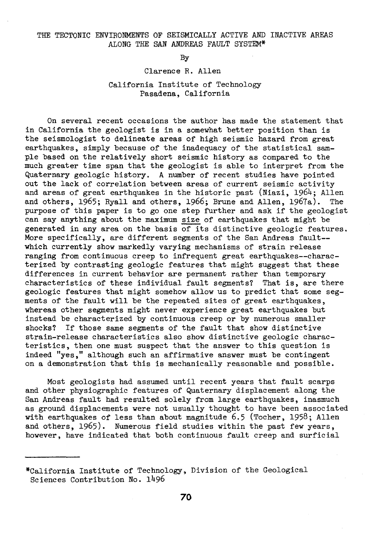## THE TECTONIC ENVIRONMENTS OF SEISMICALLY ACTIVE AND INACTIVE AREAS ALONG THE SAN ANDREAS FAULT SYSTEM\*

By

### Clarence R. Allen

# California Institute of Technology Pasadena, California

On several recent occasions the author has made the statement that in California the geologist is in a somewhat better position than is the seismologist to delineate areas of high seismic hazard from great earthquakes, simply because of the inadequacy of the statistical sample based on the relatively short seismic history as compared to the much greater time span that the geologist is able to interpret from the Quaternary geologic history. A number of recent studies have pointed out the lack of correlation between areas of current seismic activity and areas of great earthquakes in the historic past (Niazi, 1964; Allen and others, 1965; Ryall and others, 1966; Brune and Allen, 1967a). The purpose of this paper is to go one step further and ask if the geologist can say anything about the maximum size of earthquakes that might be generated in any area on the basis of its distinctive geologic features. More specifically, are different segments of the San Andreas fault- which currently show markedly varying mechanisms of strain release ranging from continuous creep to infrequent great earthquakes--characterized by contrasting geologic features that might suggest that these differences in current behavior are permanent rather than temporary characteristics of these individual fault segments? That is, are there geologic features that might somehow allow us to predict that some segments of the fault will be the repeated sites of great earthquakes, whereas other segments might never experience great earthquakes but instead be characterized by continuous creep or by numerous smaller shocks? If those same segments of the fault that show distinctive strain-release characteristics also show distinctive geologic characteristics, then one must suspect that the answer to this question is indeed "yes," although such an affirmative answer must be contingent on a demonstration that this is mechanically reasonable and possible.

Most geologists had assumed until recent years that fault scarps and other physiographic features of Quaternary displacement along the San Andreas fault had resulted solely from large earthquakes, inasmuch as ground displacements were not usually thought to have been associated with earthquakes of less than about magnitude 6.5 (Tocher, 1958; Allen and others, 1965). Numerous field studies within the past few years, however, have indicated that both continuous fault creep and surficial

<sup>\*</sup>California Institute of Technology, Division of the Geological Sciences Contribution No. 1496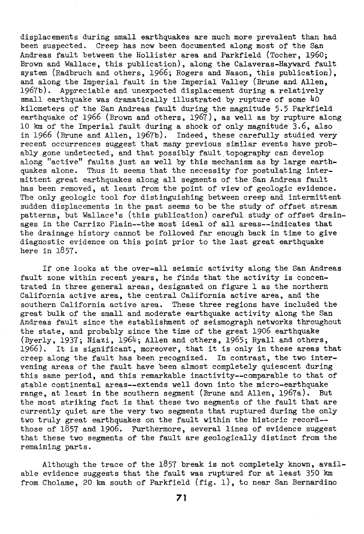displacements during small earthquakes are much more prevalent than had been suspected. Creep has now been documented along most of the San Andreas fault between the Hollister area and Parkfield (Tocher, 1960; Brown and Wallace, this publication), along the Calaveras-Hayward fault system (Radbruch and others, 1966; Rogers and Nason, this publication), and along the Imperial fault in the Imperial Valley (Brune and Allen, 1967b). Appreciable and unexpected displacement during a relatively small earthquake was dramatically illustrated by rupture of some 40 kilometers of the San Andreas fault during the magnitude 5.5 Parkfield earthquake of 1966 (Brown and others, 1967), as well as by rupture along 10 km of the Imperial fault during a shock of only magnitude 3.6, also in 1966 (Brune and Allen, 1967b). Indeed, these carefully studied very recent occurrences suggest that many previous similar events have probably gone undetected, and that possibly fault topography can develop along "active" faults just as well by this mechanism as by large earthquakes alone. Thus it seems that the necessity for postulating intermittent great earthquakes along all segments of the San Andreas fault has been removed, at least from the point of view of geologic evidence. The only geologic tool for distinguishing between creep and intermittent sudden displacements in the past seems to be the study of offset stream patterns, but Wallace's (this publication) careful study of offset drainages in the Carrizo Plain--the most ideal of all areas--indicates that the drainage history cannot be followed far enough back in time to give diagnostic evidence on this point prior to the last great earthquake here in 1857.

If one looks at the over-all seismic activity along the San Andreas fault zone within recent years, he finds that the activity is concentrated in three general areas, designated on figure 1 as the northern California active area, the central California active area, and the southern California active area. These three regions have included the great bulk of the small and moderate earthquake activity along the San Andreas fault since the establishment of seismograph networks throughout the state, and probably since the time of the great 1906 earthquake (Byerly, 1937; Niazi, 1964; Allen and others, 1965; Ryall and others, 1966). It is significant, moreover, that it is only in these areas that creep along the fault has been recognized. In contrast, the two intervening areas of the fault have been almost completely quiescent during this same period, and this remarkable inactivity--comparable to that of stable continental areas--extends well down into the micro-earthquake range, at least in the southern segment (Brune and Allen, 1967a). But the most striking fact is that these two segments of the fault that are currently quiet are the very two segments that ruptured during the only two truly great earthquakes on the fault within the historic recora- those of 1857 and 1906. Furthermore, several lines of evidence suggest that these two segments of the fault are geologically distinct from the remaining parts.

Although the trace of the 1857 break is not completely known, available evidence suggests that the fault was ruptured for at least 350 km from Cholame, 20 km south of Parkfield (fig. 1), to near San Bernardino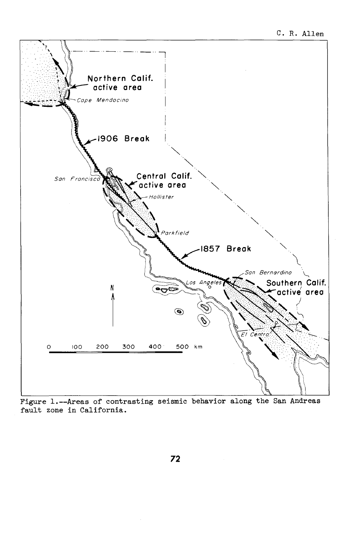

Figure 1.--Areas of contrasting seismic behavior along the San Andreas fault zone in California.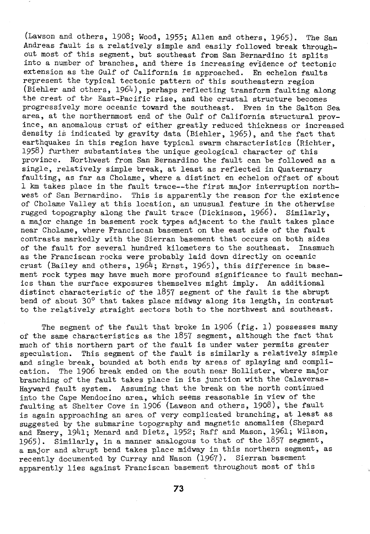(Lawson and others, 1908; Wood, 1955; Allen and others, 1965). The San Andreas fault is a relatively simple and easily followed break throughout most of this segment, but southeast from San Bernardino it splits into a number of branches, and there is increasing evidence of tectonic extension as the Gulf of California is approached. En echelon faults represent the typical tectonic pattern of this southeastern region (Biehler and others,  $1964$ ), perhaps reflecting transform faulting along the crest of the East-Pacific rise, and the crustal structure becomes progressively more oceanic toward the southeast. Even in the Salton Sea area, at the northernmost end of the Gulf of California structural province, an anomalous crust of either greatly reduced thickness or increased density is indicated by gravity data (Biehler, 1965), and the fact that earthquakes in this region have typical swarm characteristics (Richter, 1958) further substantiates the unique geological character of this province. Northwest from San Bernardino the fault can be followed as a single, relatively simple break, at least as reflected in Quaternary faulting, as far as Cholame, where a distinct en echelon offset of about 1 km takes place in the fault trace--the first major interruption northwest of San Bernardino. This is apparently the reason for the existence of Cholame Valley at this location, an unusual feature in the otherwise rugged topography along the fault trace (Dickinson, 1966). Similarly, a major change in basement rock types adjacent to the fault takes place near Cholame, where Franciscan basement on the east side of the fault contrasts markedly with the Sierran basement that occurs on both sides of the fault for several hundred kilometers to the southeast. Inasmuch as the Franciscan rocks were probably laid down directly on oceanic crust (Bailey and others, 1964; Ernst, 1965), this difference in basement rock types may have much more profound significance to fault mechanics than the surface exposures themselves might imply. An additional distinct characteristic of the 1857 segment of the fault is the abrupt bend of about 30° that takes place midway along its length, in contrast to the relatively straight sectors both to the northwest and southeast.

The segment of the fault that broke in 1906 (fig. 1) possesses many of the same characteristics as the 1857 segment, although the fact that much of this northern part of the fault is under water permits greater speculation. This segment of the fault is similarly a relatively simple and single break, bounded at both ends by areas of splaying and complication. The 1906 break ended on the south near Hollister, where major branching of the fault takes place in its junction with the Calaveras-Hayward fault system. Assuming that the break on the north continued into the Cape Mendocino area, which seems reasonable in view of the faulting at Shelter *Cove* in 1906 (Lawson and others, 1908), the fault is again approaching an area of very complicated branching, at least as suggested by the submarine topography and magnetic anomalies (Shepard and Emery, 1941; Menard and Dietz, 1952; Raff and Mason, 1961; Wilson, 1965). Similarly, in a manner analogous to that of the  $1857$  segment, a major and abrupt bend takes place midway in this northern segment, as recently documented by Curray and Nason (1967). Sierran basement apparently lies against Franciscan basement throughout most of this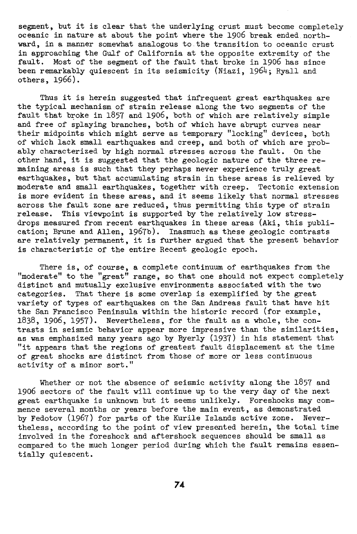segment, but it is clear that the underlying crust must become completely oceanic in nature at about the point where the 1906 break ended northward, in a manner somewhat analogous to the transition to oceanic crust in approaching the Gulf of California at the opposite extremity of the fault. Most of the segment of the fault that broke in 1906 has since been remarkably quiescent in its seismicity (Niazi, 1964; Ryall and others, 1966).

Thus it is herein suggested that infrequent great earthquakes are the typical mechanism of strain release along the two segments of the fault that broke in 1857 and 1906, both of which are relatively simple and free of splaying branches, both of which have abrupt curves near their midpoints which might serve as temporary "locking" devices, both of which lack small earthquakes and creep, and both of which are probably characterized by high normal stresses across the fault. On the other hand, it is suggested that the geologic nature of the three remaining areas is such that they perhaps never experience truly great earthquakes, but that accumulating strain in these areas is relieved by moderate and small earthquakes, together with creep. Tectonic extension is more evident in these areas, and it seems likely that normal stresses across the fault zone are reduced, thus permitting this type of strain release. This viewpoint is supported by the relatively low stressdrops measured from recent earthquakes in these areas (Aki, this publication; Brune and Allen, 1967b). Inasmuch as these geologic contrasts are relatively permanent, it is further argued that the present behavior is characteristic of the entire Recent geologic epoch.

There is, of course, a complete continuum of earthquakes from the "moderate" to the "great" range, so that one should not expect completely distinct and mutually exclusive environments associated with the two categories. That there is some overlap is exemplified by the great variety of types of earthquakes on the San Andreas fault that have hit the San Francisco Peninsula within the historic record (for example, 1838, 1906, 1957). Nevertheless, for the fault as a whole, the contrasts in seismic behavior appear more impressive than the similarities, as was emphasized many years ago by Byerly (1937) in his statement that "it appears that the regions of greatest fault displacement at the time of great shocks are distinct from those of more or less continuous activity of a minor sort."

Whether or not the absence of seismic activity along the 1857 and 1906 sectors of the fault will continue up to the very day of the next great earthquake is unknown but it seems unlikely. Foreshocks may commence several months or years before the main event, as demonstrated by Fedotov (1967) for parts of the Kurile Islands active zone. Nevertheless, according to the point of view presented herein, the total time involved in the foreshock and aftershock sequences should be small as compared to the much longer period during which the fault remains essentially quiescent.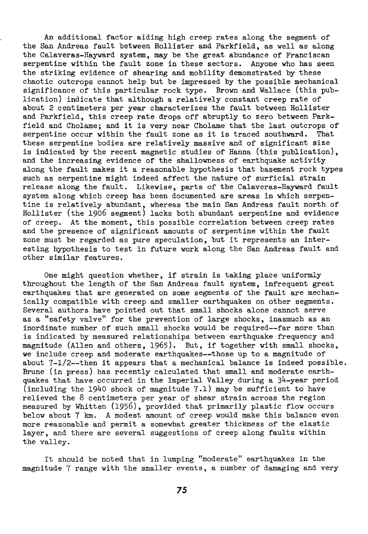An additional factor aiding high creep rates along the segment of the San Andreas fault between Hollister and Parkfield, as well as along the Calaveras-Hayward system, may be the great abundance of Franciscan serpentine within the fault zone in these sectors. Anyone who has seen the striking evidence of shearing and mobility demonstrated by these chaotic outcrops cannot help but be impressed by the possible mechanical significance of this particular rock type. Brown and Wallace (this publication) indicate that although a relatively constant creep rate of about 2 centimeters per year characterizes the fault between Hollister and Parkfield, this creep rate drops off abruptly to zero between Parkfield and Cholame; and it is very near Cholame that the last outcrops of serpentine occur within the fault zone as it is traced southward. That these serpentine bodies are relatively massive and of significant size is indicated by the recent magnetic studies of Hanna (this publication), and the increasing evidence of the shallowness of earthquake activity along the fault makes it a reasonable hypothesis that basement rock types such as serpentine might indeed affect the nature of surficial strain release along the fault. Likewise, parts of the Calaveras-Hayward fault system along which creep has been documented are areas in which serpentine is relatively abundant, whereas the main San Andreas fault north of Hollister (the 1906 segment) lacks both abundant serpentine and evidence of creep. At the moment, this possible correlation between creep rates and the presence of significant amounts of serpentine within the fault zone must be regarded as pure speculation, but it represents an interesting hypothesis to test in future work along the San Andreas fault and other similar features.

One might question whether, if strain is taking place uniformly throughout the length of the San Andreas fault system, infrequent great earthquakes that are generated on some segments of the fault are mechanically compatible with creep and smaller earthquakes on other segments. Several authors have pointed out that small shocks alone cannot serve as a "safety valve" for the prevention of large shocks, inasmuch as an inordinate number of such small shocks would be required--far more than is indicated by measured relationships between earthquake frequency and magnitude (Allen and others, 1965). But, if together with small shocks, we include creep and moderate earthquakes--those up to a magnitude of about 7-1/2--then it appears that a mechanical balance is indeed possible. Brune (in press) has recently calculated that small and moderate earthquakes that have occurred in the Imperial Valley during a  $34$ -year period (including the 1940 shock of magnitude 7.1) may be sufficient to have relieved the 8 centimeters per year of shear strain across the region measured by Whitten (1956), provided that primarily plastic flow occurs below about 7 km. A modest amount of creep would make this balance even more reasonable and permit a somewhat greater thickness of the elastic layer, and there are several suggestions of creep along faults within the valley.

It should be noted that in lumping "moderate" earthquakes in the magnitude 7 range with the smaller events, a number of damaging and very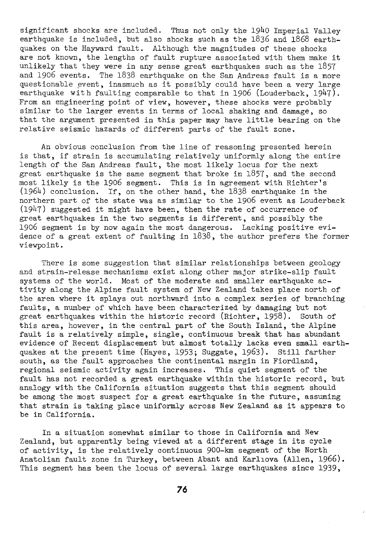significant shocks are included. Thus not only the 1940 Imperial Valley earthquake is included, but also shocks such as the 1836 and 1868 earthquakes on the Hayward fault. Although the magnitudes of these shocks are not known, the lengths of fault rupture associated with them make it unlikely that they were in any sense great earthquakes such as the 1857 and 1906 events. The 1838 earthquake on the San Andreas fault is a more questionable event, inasmuch as it possibly could have been a very large earthquake with faulting comparable to that in 1906 (Louderback,  $1947$ ). From an engineering point of view, however, these shocks were probably similar to the larger events in terms of local shaking and damage, so that the argument presented in this paper may have little bearing on the relative seismic hazards of different parts of the fault zone.

An obvious conclusion from the line of reasoning presented herein is that, if strain is accumulating relatively uniformly along the entire length of the San Andreas fault, the most likely locus for the next great earthquake is the same segment that broke in  $1857$ , and the second most likely is the 1906 segment. This is in agreement with Richter's (1964) conclusion. If, on the other hand, the 1838 earthquake in the northern part of the state was as similar to the 1906 event as Louderback (1947) suggested it might have been, then the rate of occurrence of great earthquakes in the two segments is different, and possibly the 1906 segment is by now again the most dangerous. Lacking positive evidence of a great extent of faulting in 1838, the author prefers the former viewpoint.

There is some suggestion that similar relationships between geology and strain-release mechanisms exist along other major strike-slip fault systems of the world. Most of the moderate and smaller earthquake activity along the Alpine fault system of New Zealand takes place north of the area where it splays out northward into a complex series of branching faults, a number of which have been characterized by damaging but not great earthquakes within the historic record (Richter, 1958). South of this area, however, in the central part of the South Island, the Alpine fault is a relatively simple, single, continuous break that has abundant evidence of Recent displacement but almost totally lacks even small earthquakes at the present time (Hayes, 1953; Suggate, 1963). Still farther south, as the fault approaches the continental margin in Fiordland, regional seismic activity again increases. This quiet segment of the fault has not recorded a great earthquake within the historic record, but analogy with the California situation suggests that this segment should be among the most suspect for a great earthquake in the future, assuming that strain is taking place uniformly across New Zealand as it appears to be in California.

In a situation somewhat similar to those in California and New Zealand, but apparently being viewed at a different stage in its cycle of activity, is the relatively continuous 900-km segment of the North Anatolian fault zone in Turkey, between Abant and Karl1ova (Allen, 1966). This segment has been the locus of several large earthquakes since 1939,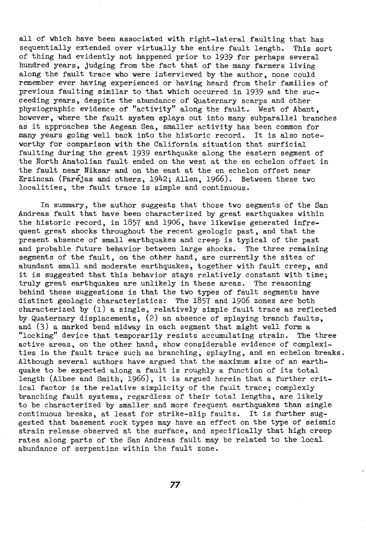all of which have been associated with right-lateral faulting that has sequentially extended over virtually the entire fault length. This sort of thing had evidently not happened prior to 1939 for perhaps several hundred years, judging from the fact that of the many farmers living along the fault trace who were interviewed by the author, none could remember ever having experienced or having heard from their families of previous faulting similar to that which occurred in 1939 and the succeeding years, despite the abundance of Quaternary scarps and other physiographic evidence of "activity" along the fault. West of Abant, however, where the fault system splays out into many subparallel branches as it approaches the Aegean Sea, smaller activity has been common for many years going well back into the historic record. It is also noteworthy for comparison with the California situation that surficial faulting during the great 1939 earthquake along the eastern segment of the North Anatolian fault ended on the west at the en echelon offset in the fault near Niksar and on the east at the en echelon offset near Erzincan (Paréjas and others, 1942; Allen, 1966). Between these two localities, the fault trace is simple and continuous.

In summary, the author suggests that those two segments of the San Andreas fault that have been characterized by great earthquakes within the historic record, in 1857 and 1906, have likewise generated infrequent great shocks throughout the recent geologic past, and that the present absence of small earthquakes and creep is typical of the past and probable future behavior between large shocks. The three remaining segments of the fault, on the other hand, are currently the sites of abundant small and moderate earthquakes, together with fault creep, and it is suggested that this behavior stays relatively constant with time; truly great earthquakes are unlikely in these areas. The reasoning behind these suggestions is that the two types of fault segments have distinct geologic characteristics: The 1857 and 1906 zones are both characterized by (1) a single, relatively simple fault trace as reflected by Quaternary displacements, (2) an absence of splaying branch faults, and (3) a marked bend midway in each segment that might well form a "locking" device that temporarily resists accumulating strain. The three active areas, on the other hand, show considerable evidence of complexities in the fault trace such as branching, splaying, and en echelon breaks. Although several authors have argued that the maximum size of an earthquake to be expected along a fault is roughly a function of its total length (Albee and Smith, 1966), it is argued herein that a further critical factor is the relative simplicity of the fault trace; complexly branching fault systems, regardless of their total lengths, are likely to be characterized by smaller and more frequent earthquakes than single continuous breaks, at least for strike-slip faults. It is further suggested that basement rock types may have an effect on the type of seismic strain release observed at the surface, and specifically that high creep rates along parts of the San Andreas fault may be related to the local abundance of serpentine within the fault zone.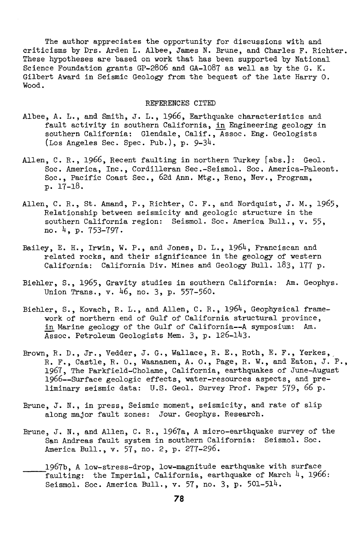The author appreciates the opportunity for discussions with and criticisms by Drs. Arden L. Albee, James N. Brune, and Charles F. Richter. These hypotheses are based on work that has been supported by National Science Foundation grants GP-2806 and GA-1087 as well as by the G. K. Gilbert Award in Seismic Geology from the bequest of the late Harry O. Wood.

## REFERENCES CITED

- Albee, A. L., and Smith, J. L., 1966, Earthquake characteristics and fault activity in southern California, in Engineering geology in southern California: Glendale, Calif., Assoc. Eng. Geologists (Los Angeles Sec. Spec. Pub.), p. 9-34.
- Allen, C.R., 1966, Recent faulting in northern Turkey [abs.]: Geol. Soc. America, Inc., Cordilleran Sec.-Seismol. Soc. America-Paleont. Soc., Pacific Coast Sec., 62d Ann. Mtg., Reno, Nev., Program, p. 17-18.
- Allen, C.R., St. Amand, P., Richter, C. F., and Nordquist, J.M., 1965, Relationship between seismicity and geologic structure in the southern California region: Seismol. Soc. America Bull., v. 55, no. 4, p. 753-797.
- Bailey, E. H., Irwin, W. P., and Jones, D. L., 1964, Franciscan and related rocks, and their significance in the geology of western California: California Div. Mines and Geology Bull. 183, 177 p.
- Biehler, S., 1965, Gravity studies in southern California: Am. Geophys. Union Trans., v. 46, no. 3, p. 557-560.
- Biehler, S., Kovach, R. L., and Allen, C.R., 1964, Geophysical framework of northern end of Gulf of California structural province, in Marine geology of the Gulf of California--A symposium: Am. Assoc. Petroleum Geologists Mem. 3, p. 126-143.
- Brown, R. D., Jr., Vedder, J. G., Wallace, R. E., Roth, E. F., Yerkes, R. F., Castle, R. O., Waananen, A. O., Page, R. W., and Eaton, J.P., 1967, The Parkfield-Cholame, California, earthquakes of June-August 1966--Surface geologic effects, water-resources aspects, and preliminary seismic data: U.S. Geol. Survey Prof. Paper 579, 66 p.
- Brune, J. N., in press, Seismic moment, seismicity, and rate of slip along major fault zones: Jour. Geophys. Research.
- Brune, J. N., and Allen, C. R., 1967a, A micro-earthquake survey of the San Andreas fault system in southern California: Seismol. Soc. America Bull., v. 57, no. 2, p. 277-296.
- 1967b, A low-stress-drop, low-magnitude earthquake with surface faulting: the Imperial, California, earthquake of March  $4$ , 1966: Seismol. Soc. America Bull., v. 57, no. 3, p. 501-514.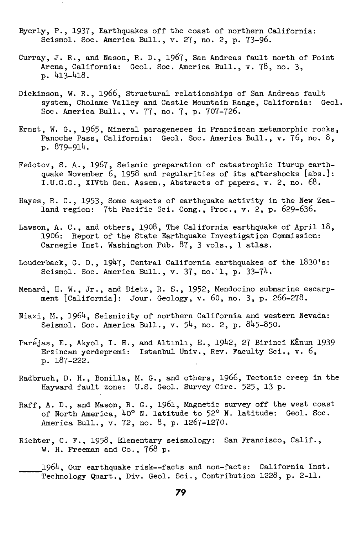- Byerly, P., 1937, Earthquakes off the coast of northern California: Seismal. Soc. America Bull., v. 27, no. 2, p. 73-96.
- Curray, *J.* R., and Nason, R. D., 1967, San Andreas fault north of Point Arena, California: Geol. Soc. America Bull., v. 78, no. 3, p. 413-418.
- Dickinson, W.R., 1966, Structural relationships of San Andreas fault system, Cholame Valley and Castle Mountain Range, California: Geol. Soc. America Bull., v. 77, no. 7, p. 707-726.
- Ernst, W. G., 1965, Mineral parageneses in Franciscan metamorphic rocks, Panoche Pass, California: Geol. Soc. America Bull., v. 76, no. 8, p. 879-914.
- Fedotov, S. A., 1967, Seismic preparation of catastrophic Iturup earthquake November 6, 1958 and regularities of its aftershocks [abs.]: I.U.G.G., XIVth Gen. Assem., Abstracts of papers, v. 2, no. 68.
- Hayes, R. C., 1953, Some aspects of earthquake activity in the New Zealand region: 7th Pacific Sci. Cong., Proc., v. 2, p. 629-636.
- Lawson, A. C., and others, 1908, The California earthquake of April 18, 1906: Report of the State Earthquake Investigation Commission: Carnegie Inst. Washington Pub. 87, 3 vols., 1 atlas.
- Louderback, G.D., 1947, Central California earthquakes of the 1830's: Seismol. Soc. America Bull.,  $v. 37$ , no. 1, p. 33-74.
- Menard, H. W., Jr., and Dietz, R. S., 1952, Mendocino submarine escarpment [California]: Jour. Geology, v. 60, no. 3, p. 266-278.
- Niazi, M., 1964, Seismicity of northern California and western Nevada: Seismal. Soc. America Bull., v. 54, no. 2, p. 845-850.
- Parejas, E., Akyol, I. H., and Altınlı, E., 1942, 27 Birinci Kânun 1939 Erzincan yerdepremi: Istanbul Univ., Rev. Faculty Sci., v. 6, p. 187-222.
- Radbruch, D. H., Bonilla, M. G., and others, 1966, Tectonic creep in the Hayward fault zone: U.S. Geol. Survey Circ. 525, 13 p.
- Raff, A. D., and Mason, R. G., 1961, Magnetic survey off the west coast of North America, 40° N. latitude to 52° N. latitude: Geol. Soc. America Bull., v. 72, no. 8, p. 1267-1270.
- Richter, C. F., 1958, Elementary seismology: San Francisco, Calif., W. H. Freeman and Co., 768 p.
- $1964$ , Our earthquake risk--facts and non-facts: California Inst. Technology Quart., Div. Geol. Sci., Contribution 1228, p. 2-11.